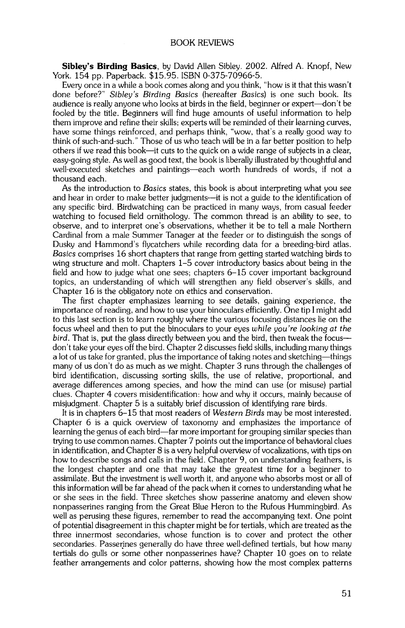**Sibley's Birding Basics, by David Allen Sibley. 2002. Alfred A. Knopf, New York. 154 pp. Paperback. \$15.95. ISBN 0-375-70966-5.** 

**Every once in a while a book comes along and you think, "how is it that this wasn't done before?" Sibley's Birding Basics (hereafter Basics) is one such book. Its audience is really anyone who looks at birds in the field, beginner or expert--don't be fooled by the title. Beginners will find huge amounts of useful information to help them improve and refine their skills; experts will be reminded of their learning curves, have some things reinforced, and perhaps think, "wow, that's a really good way to think of such-and-such." Those of us who teach wi[[ be in a far better position to help others if we read this book--it cuts to the quick on a wide range of subjects in a dear, easy-going style. As well as good text, the book is liberally illustrated by thoughtful and well-executed sketches and paintings--each worth hundreds of words, if not a thousand each.** 

**As the introduction to Basics states, this book is about interpreting what you see and hear in order to make better judgments--it is not a guide to the identification of any specific bird. Birdwatching can be practiced in many ways, from casual feeder watching to focused field ornithology. The common thread is an ability to see, to**  observe, and to interpret one's observations, whether it be to tell a male Northern **Cardinal from a male Summer Tanager at the feeder or to distinguish the songs of Dusky and Hammond's flycatchers while recording data for a breeding-bird atlas. Basics comprises 16 short chapters that range from getting started watching birds to wing structure and molt. Chapters 1-5 cover introductory basics about being in the field and how to judge what one sees; chapters 6-15 cover important background topics, an understanding of which will strengthen any field observer's skills, and Chapter 16 is the obligatory note on ethics and conservation.** 

**The first chapter emphasizes learning to see details, gaining experience, the importance of reading, and how to use your binoculars efficiently. One tip I might add to this last section is to learn roughly where the various focusing distances lie on the focus wheel and then to put the binoculars to your eyes while you're looking at the bird. That is, put the glass directly between you and the bird, then tweak the focus- don't take your eyes off the bird. Chapter 2 discusses field skills, including many things a lot of us take for granted, plus the importance of taking notes and sketching--things many of us don't do as much as we might. Chapter 3 runs through the challenges of**  bird identification, discussing sorting skills, the use of relative, proportional, and **average differences among species, and how the mind can use (or misuse) partial clues. Chapter 4 covers misidentification: how and why it occurs, mainly because of misjudgment. Chapter 5 is a suitably brief discussion of identifying rare birds.** 

**It is in chapters 6-15 that most readers of Western Birds may be most interested. Chapter 6 is a quick overview of taxonomy and emphasizes the importance of [earning the genus of each bird--far more important for grouping similar species than trying to use common names. Chapter 7 points out the importance of behavioral dues**  in identification, and Chapter 8 is a very helpful overview of vocalizations, with tips on **how to describe songs and calls in the field. Chapter 9, on understanding feathers, is the longest chapter and one that may take the greatest time for a beginner to assimilate. But the investment is we]] worth it, and anyone who absorbs most or a]] of this information will be far ahead of the pack when it comes to understanding what he or she sees in the field. Three sketches show passerine anatomy and eleven show nonpasserines ranging from the Great Blue Heron to the Rufous Hummingbird. As**  well as perusing these figures, remember to read the accompanying text. One point of potential disagreement in this chapter might be for tertials, which are treated as the **three innermost secondaries, whose function is to cover and protect the other**  secondaries. Passerines generally do have three well-defined tertials, but how many **tertia[s do gulls or some other nonpasserines have? Chapter 10 goes on to relate feather arrangements and color patterns, showing how the most complex patterns**